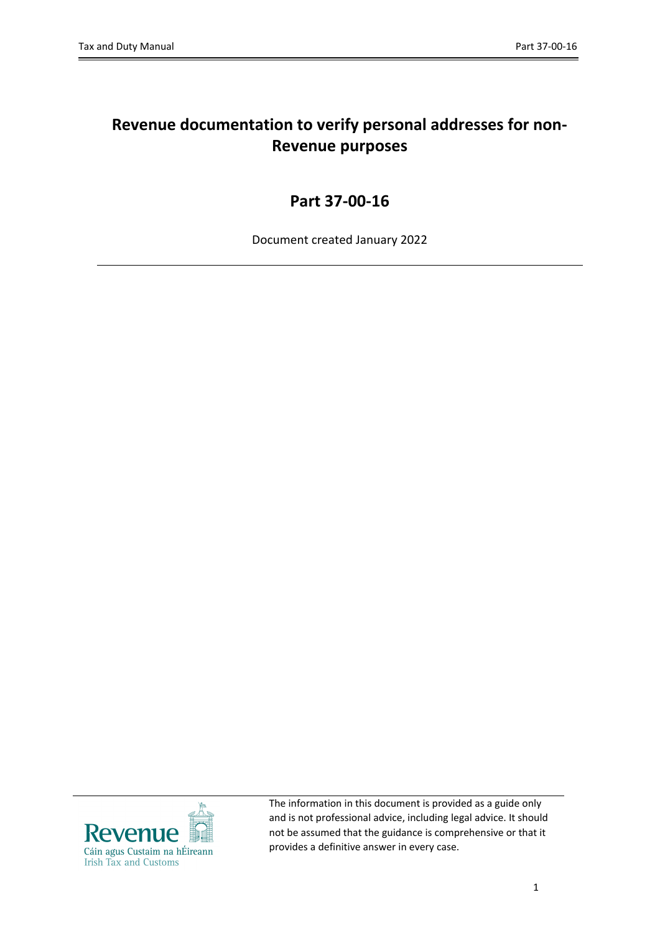# **Revenue documentation to verify personal addresses for non-Revenue purposes**

## **Part 37-00-16**

Document created January 2022



The information in this document is provided as a guide only and is not professional advice, including legal advice. It should not be assumed that the guidance is comprehensive or that it provides a definitive answer in every case.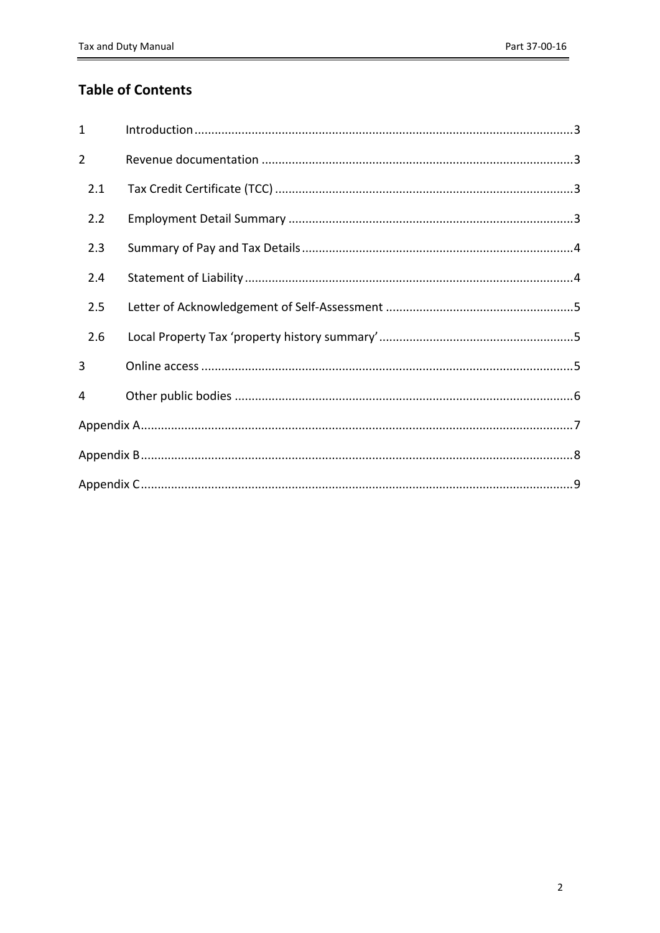## **Table of Contents**

| $\mathbf{1}$   |  |
|----------------|--|
| $\overline{2}$ |  |
| 2.1            |  |
| 2.2            |  |
| 2.3            |  |
| 2.4            |  |
| 2.5            |  |
| 2.6            |  |
| 3              |  |
| 4              |  |
|                |  |
|                |  |
|                |  |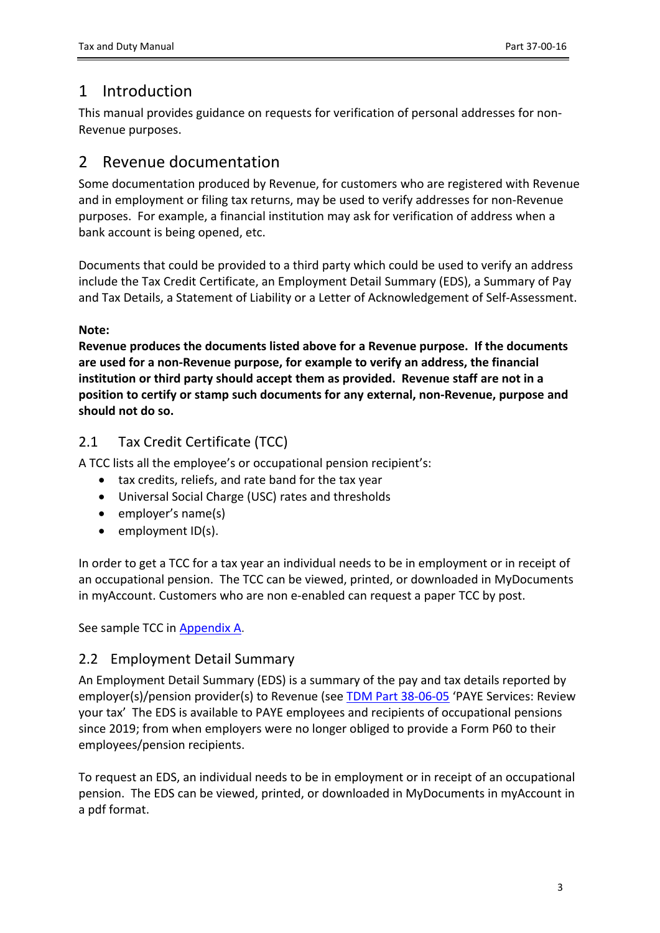# <span id="page-2-0"></span>1 Introduction

This manual provides guidance on requests for verification of personal addresses for non-Revenue purposes.

## <span id="page-2-1"></span>2 Revenue documentation

Some documentation produced by Revenue, for customers who are registered with Revenue and in employment or filing tax returns, may be used to verify addresses for non-Revenue purposes. For example, a financial institution may ask for verification of address when a bank account is being opened, etc.

Documents that could be provided to a third party which could be used to verify an address include the Tax Credit Certificate, an Employment Detail Summary (EDS), a Summary of Pay and Tax Details, a Statement of Liability or a Letter of Acknowledgement of Self-Assessment.

### **Note:**

**Revenue produces the documents listed above for a Revenue purpose. If the documents are used for a non-Revenue purpose, for example to verify an address, the financial institution or third party should accept them as provided. Revenue staff are not in a position to certify or stamp such documents for any external, non-Revenue, purpose and should not do so.**

## <span id="page-2-2"></span>2.1 Tax Credit Certificate (TCC)

A TCC lists all the employee's or occupational pension recipient's:

- tax credits, reliefs, and rate band for the tax year
- Universal Social Charge (USC) rates and thresholds
- employer's name(s)
- employment ID(s).

In order to get a TCC for a tax year an individual needs to be in employment or in receipt of an occupational pension. The TCC can be viewed, printed, or downloaded in MyDocuments in myAccount. Customers who are non e-enabled can request a paper TCC by post.

See sample TCC in [Appendix](#page-6-0) [A.](#page-6-0)

## <span id="page-2-3"></span>2.2 Employment Detail Summary

An Employment Detail Summary (EDS) is a summary of the pay and tax details reported by employer(s)/pension provider(s) to Revenue (see [TDM](https://www.revenue.ie/en/tax-professionals/tdm/income-tax-capital-gains-tax-corporation-tax/part-38/38-06-05.pdf) [Part](https://www.revenue.ie/en/tax-professionals/tdm/income-tax-capital-gains-tax-corporation-tax/part-38/38-06-05.pdf) [38-06-05](https://www.revenue.ie/en/tax-professionals/tdm/income-tax-capital-gains-tax-corporation-tax/part-38/38-06-05.pdf) 'PAYE Services: Review your tax' The EDS is available to PAYE employees and recipients of occupational pensions since 2019; from when employers were no longer obliged to provide a Form P60 to their employees/pension recipients.

To request an EDS, an individual needs to be in employment or in receipt of an occupational pension. The EDS can be viewed, printed, or downloaded in MyDocuments in myAccount in a pdf format.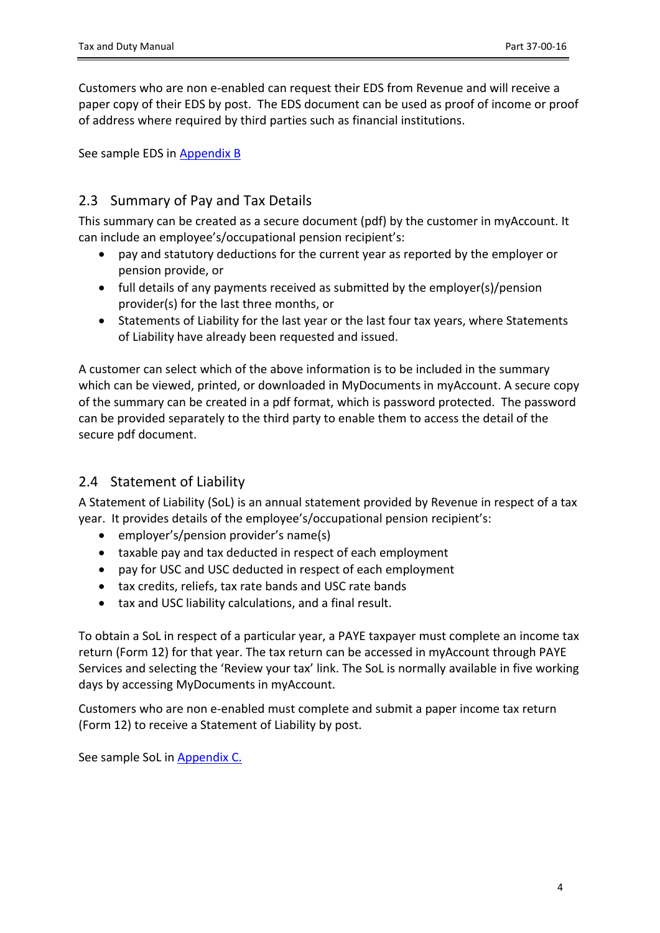Customers who are non e-enabled can request their EDS from Revenue and will receive a paper copy of their EDS by post. The EDS document can be used as proof of income or proof of address where required by third parties such as financial institutions.

See sample EDS in [Appendix](#page-7-0) [B](#page-7-0)

## <span id="page-3-0"></span>2.3 Summary of Pay and Tax Details

This summary can be created as a secure document (pdf) by the customer in myAccount. It can include an employee's/occupational pension recipient's:

- pay and statutory deductions for the current year as reported by the employer or pension provide, or
- full details of any payments received as submitted by the employer(s)/pension provider(s) for the last three months, or
- Statements of Liability for the last year or the last four tax years, where Statements of Liability have already been requested and issued.

A customer can select which of the above information is to be included in the summary which can be viewed, printed, or downloaded in MyDocuments in myAccount. A secure copy of the summary can be created in a pdf format, which is password protected. The password can be provided separately to the third party to enable them to access the detail of the secure pdf document.

### <span id="page-3-1"></span>2.4 Statement of Liability

A Statement of Liability (SoL) is an annual statement provided by Revenue in respect of a tax year. It provides details of the employee's/occupational pension recipient's:

- employer's/pension provider's name(s)
- taxable pay and tax deducted in respect of each employment
- pay for USC and USC deducted in respect of each employment
- tax credits, reliefs, tax rate bands and USC rate bands
- tax and USC liability calculations, and a final result.

To obtain a SoL in respect of a particular year, a PAYE taxpayer must complete an income tax return (Form 12) for that year. The tax return can be accessed in myAccount through PAYE Services and selecting the 'Review your tax' link. The SoL is normally available in five working days by accessing MyDocuments in myAccount.

Customers who are non e-enabled must complete and submit a paper income tax return (Form 12) to receive a Statement of Liability by post.

See sample SoL in [Appendix](#page-8-0) [C.](#page-8-0)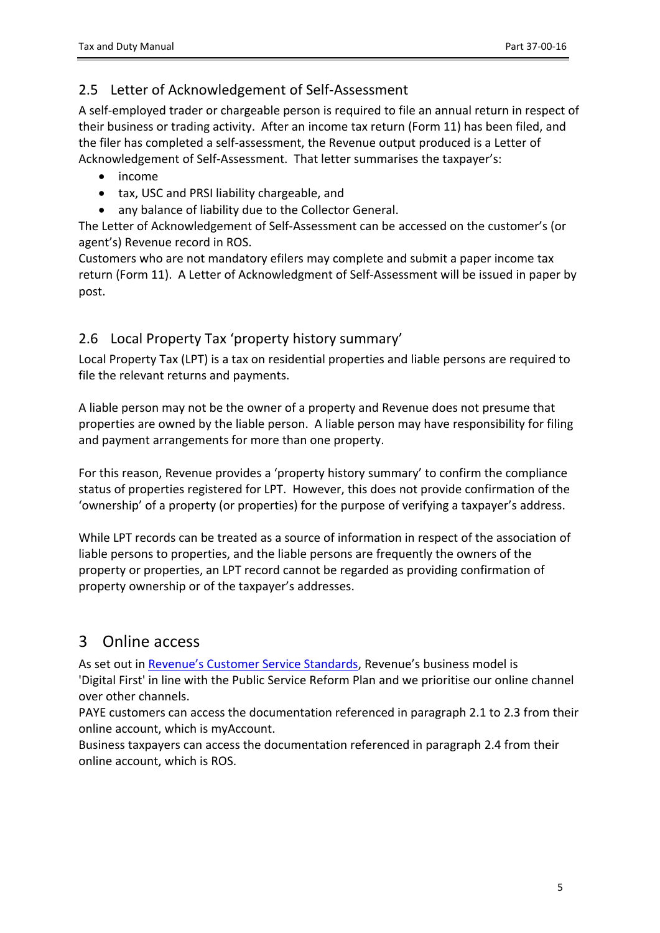## <span id="page-4-0"></span>2.5 Letter of Acknowledgement of Self-Assessment

A self-employed trader or chargeable person is required to file an annual return in respect of their business or trading activity. After an income tax return (Form 11) has been filed, and the filer has completed a self-assessment, the Revenue output produced is a Letter of Acknowledgement of Self-Assessment. That letter summarises the taxpayer's:

- income
- tax, USC and PRSI liability chargeable, and
- any balance of liability due to the Collector General.

The Letter of Acknowledgement of Self-Assessment can be accessed on the customer's (or agent's) Revenue record in ROS.

Customers who are not mandatory efilers may complete and submit a paper income tax return (Form 11). A Letter of Acknowledgment of Self-Assessment will be issued in paper by post.

## <span id="page-4-1"></span>2.6 Local Property Tax 'property history summary'

Local Property Tax (LPT) is a tax on residential properties and liable persons are required to file the relevant returns and payments.

A liable person may not be the owner of a property and Revenue does not presume that properties are owned by the liable person. A liable person may have responsibility for filing and payment arrangements for more than one property.

For this reason, Revenue provides a 'property history summary' to confirm the compliance status of properties registered for LPT. However, this does not provide confirmation of the 'ownership' of a property (or properties) for the purpose of verifying a taxpayer's address.

While LPT records can be treated as a source of information in respect of the association of liable persons to properties, and the liable persons are frequently the owners of the property or properties, an LPT record cannot be regarded as providing confirmation of property ownership or of the taxpayer's addresses.

## <span id="page-4-2"></span>3 Online access

As set out in [Revenue's](https://www.revenue.ie/en/corporate/information-about-revenue/customer-service/service-standards/index.aspx) [Customer](https://www.revenue.ie/en/corporate/information-about-revenue/customer-service/service-standards/index.aspx) [Service](https://www.revenue.ie/en/corporate/information-about-revenue/customer-service/service-standards/index.aspx) [Standards](https://www.revenue.ie/en/corporate/information-about-revenue/customer-service/service-standards/index.aspx), Revenue's business model is 'Digital First' in line with the Public Service Reform Plan and we prioritise our online channel over other channels.

PAYE customers can access the documentation referenced in paragraph 2.1 to 2.3 from their online account, which is myAccount.

Business taxpayers can access the documentation referenced in paragraph 2.4 from their online account, which is ROS.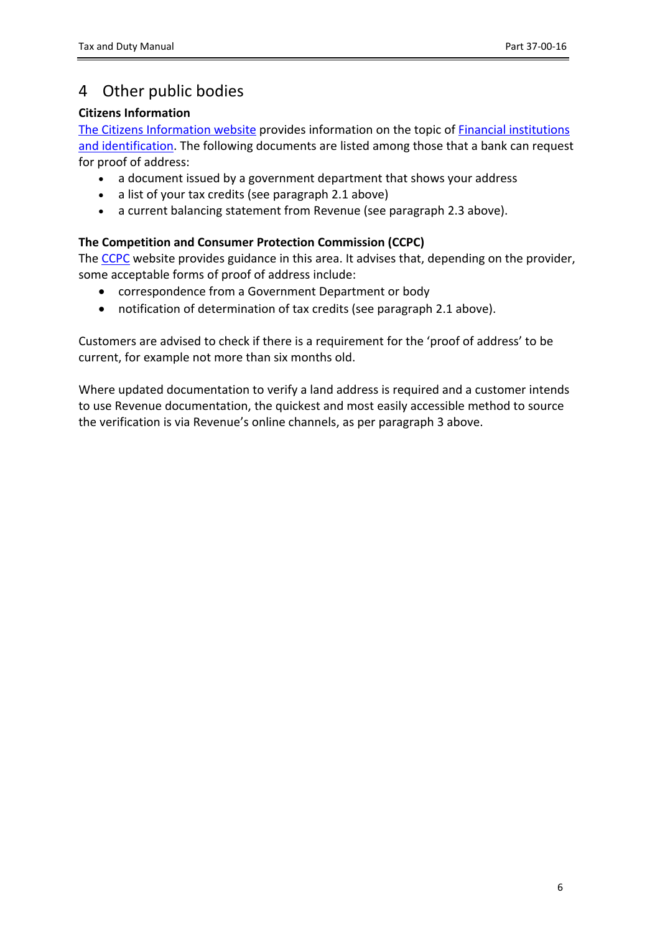# <span id="page-5-0"></span>4 Other public bodies

### **Citizens Information**

The [Citizens](https://www.citizensinformation.ie/en/) [Information](https://www.citizensinformation.ie/en/) [website](https://www.citizensinformation.ie/en/) provides information on the topic of **[Financial](https://www.citizensinformation.ie/en/money_and_tax/personal_finance/banking/financial_institutions_and_identification.html) [institutions](https://www.citizensinformation.ie/en/money_and_tax/personal_finance/banking/financial_institutions_and_identification.html)** [and](https://www.citizensinformation.ie/en/money_and_tax/personal_finance/banking/financial_institutions_and_identification.html) [identification.](https://www.citizensinformation.ie/en/money_and_tax/personal_finance/banking/financial_institutions_and_identification.html) The following documents are listed among those that a bank can request for proof of address:

- a document issued by a government department that shows your address
- a list of your tax credits (see paragraph 2.1 above)
- a current balancing statement from Revenue (see paragraph 2.3 above).

### **The Competition and Consumer Protection Commission (CCPC)**

The [CCPC](https://www.ccpc.ie/consumers/money/banking/opening-account) website provides guidance in this area. It advises that, depending on the provider, some acceptable forms of proof of address include:

- correspondence from a Government Department or body
- notification of determination of tax credits (see paragraph 2.1 above).

Customers are advised to check if there is a requirement for the 'proof of address' to be current, for example not more than six months old.

Where updated documentation to verify a land address is required and a customer intends to use Revenue documentation, the quickest and most easily accessible method to source the verification is via Revenue's online channels, as per paragraph 3 above.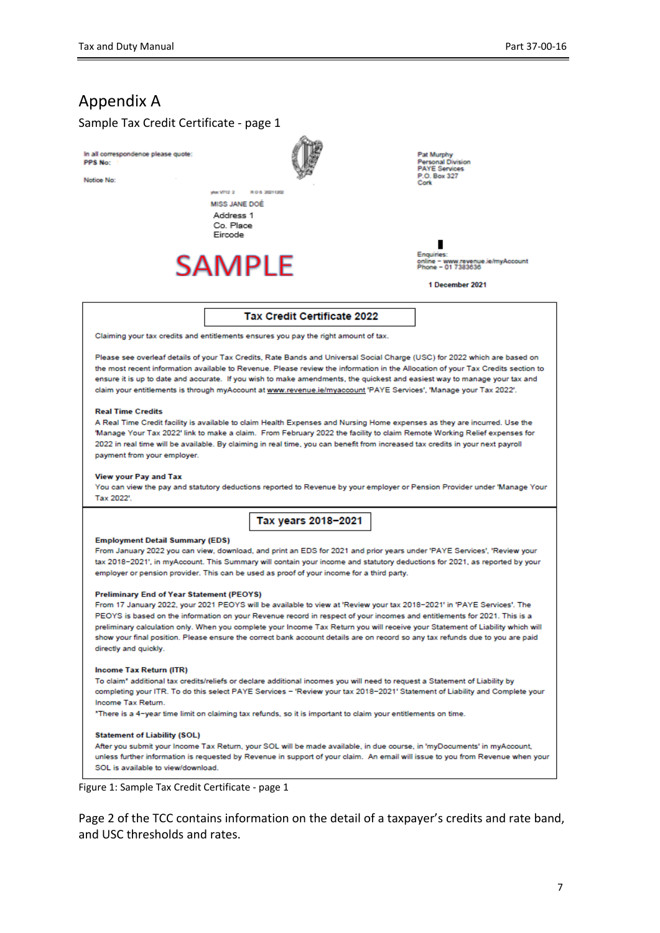## <span id="page-6-0"></span>Appendix A

#### Sample Tax Credit Certificate - page 1

In all correspondence please quote: **PPS No:** 

Notice No.



Pat Murphy<br>Personal Division<br>PAYE Services P.O. Box 327

∎ MayAoco

1 December 2021

#### Tax Credit Certificate 2022

Claiming your tax credits and entitlements ensures you pay the right amount of tax.

**CONTRACTOR** 

Co Place Eircode

**SAMPLE** 

Please see overleaf details of your Tax Credits, Rate Bands and Universal Social Charge (USC) for 2022 which are based on the most recent information available to Revenue. Please review the information in the Allocation of your Tax Credits section to ensure it is up to date and accurate. If you wish to make amendments, the quickest and easiest way to manage your tax and claim your entitlements is through myAccount at www.revenue.ie/myaccount 'PAYE Services', 'Manage your Tax 2022'.

#### **Real Time Credits**

A Real Time Credit facility is available to claim Health Expenses and Nursing Home expenses as they are incurred. Use the 'Manage Your Tax 2022' link to make a claim. From February 2022 the facility to claim Remote Working Relief expenses for 2022 in real time will be available. By claiming in real time, you can benefit from increased tax credits in your next payroll payment from your employer.

#### **View your Pay and Tax**

You can view the pay and statutory deductions reported to Revenue by your employer or Pension Provider under 'Manage Your Tax 2022'

Tax years 2018-2021

#### **Employment Detail Summary (EDS)**

From January 2022 you can view, download, and print an EDS for 2021 and prior years under 'PAYE Services', 'Review your tax 2018-2021', in myAocount. This Summary will contain your income and statutory deductions for 2021, as reported by your employer or pension provider. This can be used as proof of your income for a third party.

#### **Preliminary End of Year Statement (PEOYS)**

From 17 January 2022, your 2021 PEOYS will be available to view at 'Review your tax 2018-2021' in 'PAYE Services'. The PEOYS is based on the information on your Revenue record in respect of your incomes and entitlements for 2021. This is a preliminary calculation only. When you complete your Income Tax Return you will receive your Statement of Liability which will show your final position. Please ensure the correct bank account details are on record so any tax refunds due to you are paid directly and quickly.

#### **Income Tax Return (ITR)**

To claim\* additional tax credits/reliefs or declare additional incomes you will need to request a Statement of Liability by completing your ITR. To do this select PAYE Services - 'Review your tax 2018-2021' Statement of Liability and Complete your Income Tax Return.

\*There is a 4-year time limit on claiming tax refunds, so it is important to claim your entitlements on time.

#### **Statement of Liability (SOL)**

After you submit your Income Tax Return, your SOL will be made available, in due course, in 'myDocuments' in myAccount, unless further information is requested by Revenue in support of your claim. An email will issue to you from Revenue when your SOL is available to view/download

Figure 1: Sample Tax Credit Certificate - page 1

Page 2 of the TCC contains information on the detail of a taxpayer's credits and rate band, and USC thresholds and rates.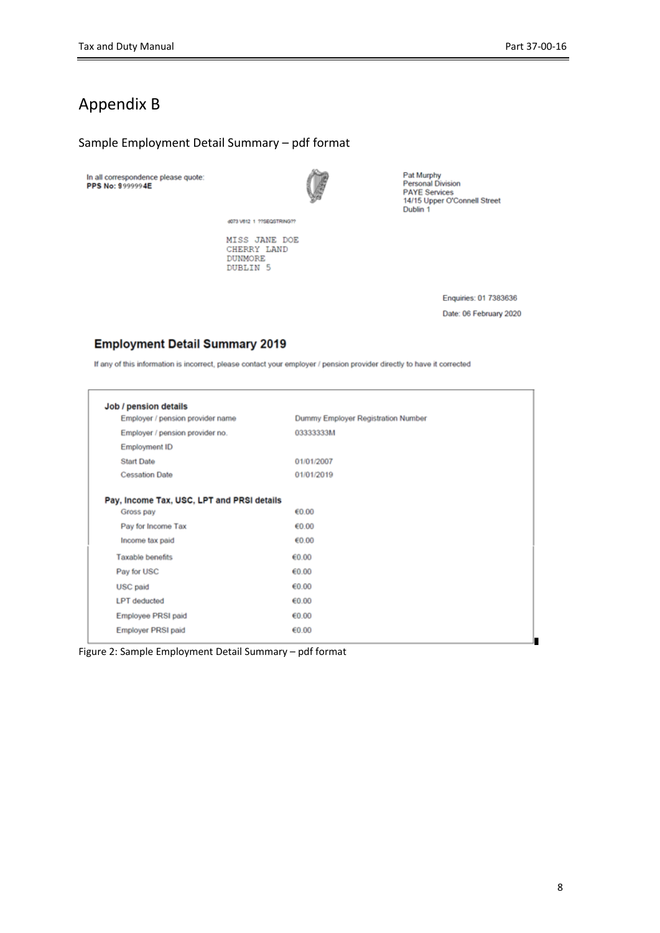## <span id="page-7-0"></span>Appendix B

#### Sample Employment Detail Summary – pdf format

In all correspondence please quote:<br>PPS No: 9999994E



Pat Murphy<br>Personal Division<br>PAYE Services<br>14/15 Upper O'Connell Street<br>Dublin 1

MISS JANE DOE<br>CHERRY LAND<br>DUNMORE DUBLIN<sub>5</sub>

d073 V612 1 ??SEQSTRING??

Enquiries: 01 7383636 Date: 06 February 2020

#### **Employment Detail Summary 2019**

If any of this information is incorrect, please contact your employer / pension provider directly to have it corrected

| Employer / pension provider name           | Dummy Employer Registration Number |  |
|--------------------------------------------|------------------------------------|--|
|                                            |                                    |  |
| Employer / pension provider no.            | 03333333M                          |  |
| <b>Employment ID</b>                       |                                    |  |
| <b>Start Date</b>                          | 01/01/2007                         |  |
| <b>Cessation Date</b>                      | 01/01/2019                         |  |
|                                            |                                    |  |
| Pay, Income Tax, USC, LPT and PRSI details |                                    |  |
| Gross pay                                  | €0.00                              |  |
| Pay for Income Tax                         | €0.00                              |  |
| Income tax paid                            | €0.00                              |  |
| Taxable benefits                           | €0.00                              |  |
| Pay for USC                                | €0.00                              |  |
| USC paid                                   | €0.00                              |  |
| <b>LPT</b> deducted                        | €0.00                              |  |
| Employee PRSI paid                         | €0.00                              |  |
| <b>Employer PRSI paid</b>                  | €0.00                              |  |

Figure 2: Sample Employment Detail Summary – pdf format